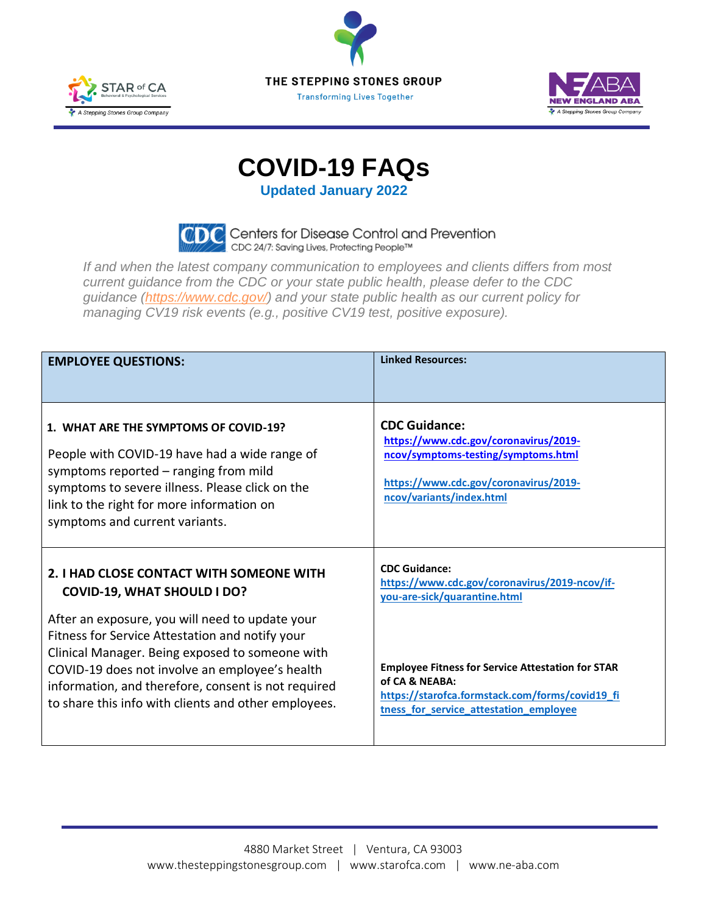





## **COVID-19 FAQs**

**Updated January 2022**



*If and when the latest company communication to employees and clients differs from most current guidance from the CDC or your state public health, please defer to the CDC guidance [\(https://www.cdc.gov/\)](https://www.cdc.gov/) and your state public health as our current policy for managing CV19 risk events (e.g., positive CV19 test, positive exposure).*

| <b>EMPLOYEE QUESTIONS:</b>                                                                                                                                                                                                                                                                                             | <b>Linked Resources:</b>                                                                                                                                                  |
|------------------------------------------------------------------------------------------------------------------------------------------------------------------------------------------------------------------------------------------------------------------------------------------------------------------------|---------------------------------------------------------------------------------------------------------------------------------------------------------------------------|
| 1. WHAT ARE THE SYMPTOMS OF COVID-19?<br>People with COVID-19 have had a wide range of<br>symptoms reported – ranging from mild<br>symptoms to severe illness. Please click on the<br>link to the right for more information on<br>symptoms and current variants.                                                      | <b>CDC Guidance:</b><br>https://www.cdc.gov/coronavirus/2019-<br>ncov/symptoms-testing/symptoms.html<br>https://www.cdc.gov/coronavirus/2019-<br>ncov/variants/index.html |
| 2. I HAD CLOSE CONTACT WITH SOMEONE WITH<br><b>COVID-19, WHAT SHOULD I DO?</b>                                                                                                                                                                                                                                         | <b>CDC Guidance:</b><br>https://www.cdc.gov/coronavirus/2019-ncov/if-<br>you-are-sick/quarantine.html                                                                     |
| After an exposure, you will need to update your<br>Fitness for Service Attestation and notify your<br>Clinical Manager. Being exposed to someone with<br>COVID-19 does not involve an employee's health<br>information, and therefore, consent is not required<br>to share this info with clients and other employees. | <b>Employee Fitness for Service Attestation for STAR</b><br>of CA & NEABA:<br>https://starofca.formstack.com/forms/covid19_fi<br>tness_for_service_attestation_employee   |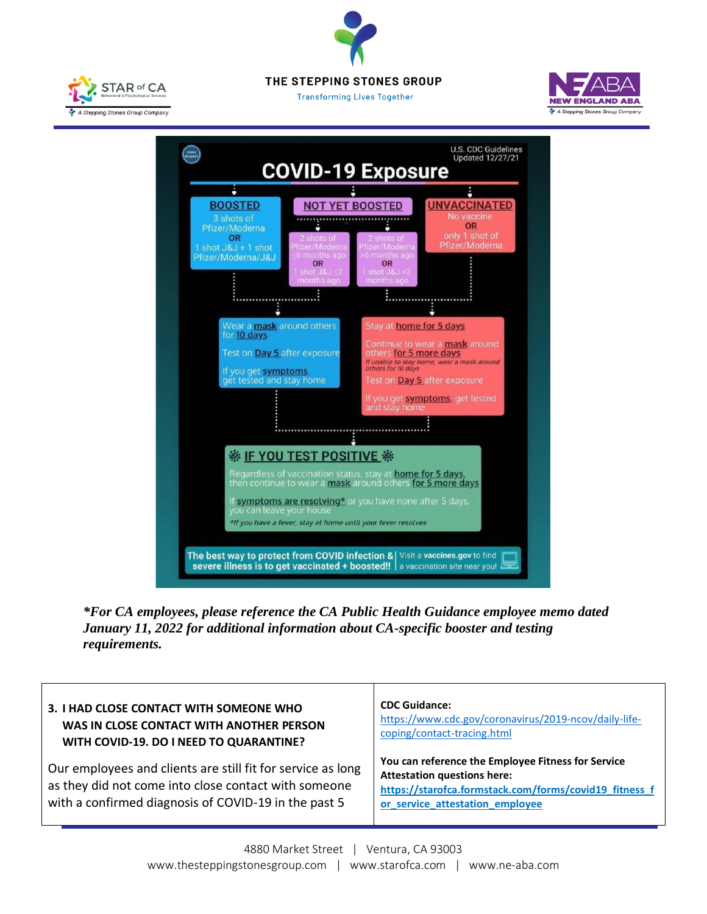







*\*For CA employees, please reference the CA Public Health Guidance employee memo dated January 11, 2022 for additional information about CA-specific booster and testing requirements.*

| 3. I HAD CLOSE CONTACT WITH SOMEONE WHO                                                                                                                                     | <b>CDC Guidance:</b>                                                                                                                                                                  |
|-----------------------------------------------------------------------------------------------------------------------------------------------------------------------------|---------------------------------------------------------------------------------------------------------------------------------------------------------------------------------------|
| WAS IN CLOSE CONTACT WITH ANOTHER PERSON                                                                                                                                    | https://www.cdc.gov/coronavirus/2019-ncov/daily-life-                                                                                                                                 |
| WITH COVID-19. DO I NEED TO QUARANTINE?                                                                                                                                     | coping/contact-tracing.html                                                                                                                                                           |
| Our employees and clients are still fit for service as long<br>as they did not come into close contact with someone<br>with a confirmed diagnosis of COVID-19 in the past 5 | You can reference the Employee Fitness for Service<br><b>Attestation questions here:</b><br>https://starofca.formstack.com/forms/covid19_fitness_f<br>or_service_attestation_employee |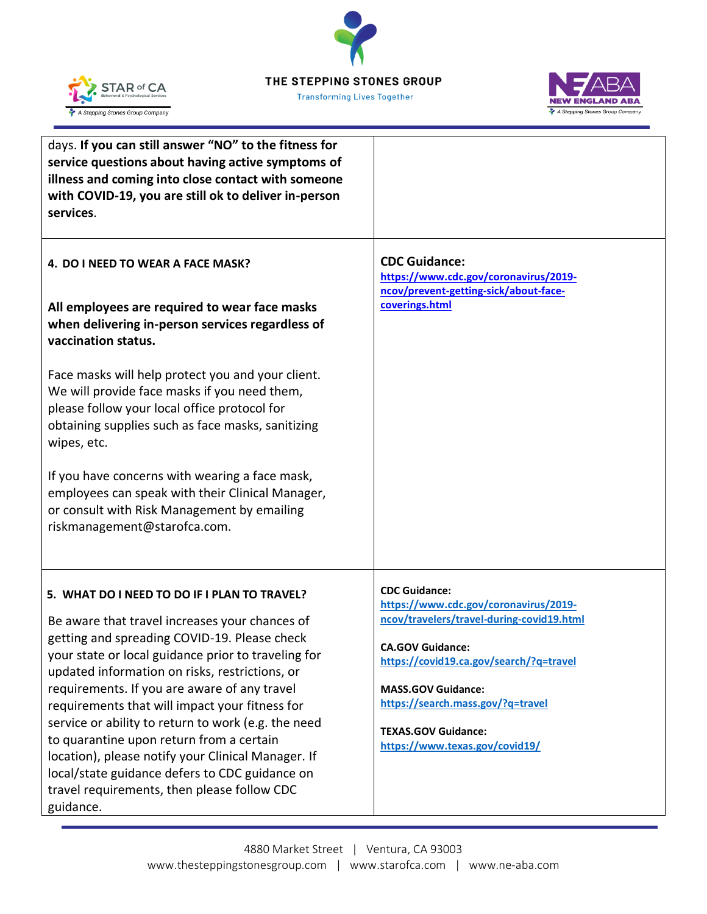## THE STEPPING STONES GROUP



**Transforming Lives Together** 



| days. If you can still answer "NO" to the fitness for<br>service questions about having active symptoms of<br>illness and coming into close contact with someone<br>with COVID-19, you are still ok to deliver in-person<br>services. |                                                                    |
|---------------------------------------------------------------------------------------------------------------------------------------------------------------------------------------------------------------------------------------|--------------------------------------------------------------------|
| 4. DO I NEED TO WEAR A FACE MASK?                                                                                                                                                                                                     | <b>CDC Guidance:</b><br>https://www.cdc.gov/coronavirus/2019-      |
| All employees are required to wear face masks<br>when delivering in-person services regardless of<br>vaccination status.                                                                                                              | ncov/prevent-getting-sick/about-face-<br>coverings.html            |
| Face masks will help protect you and your client.<br>We will provide face masks if you need them,<br>please follow your local office protocol for<br>obtaining supplies such as face masks, sanitizing<br>wipes, etc.                 |                                                                    |
| If you have concerns with wearing a face mask,<br>employees can speak with their Clinical Manager,<br>or consult with Risk Management by emailing<br>riskmanagement@starofca.com.                                                     |                                                                    |
| 5. WHAT DO I NEED TO DO IF I PLAN TO TRAVEL?                                                                                                                                                                                          | <b>CDC Guidance:</b>                                               |
|                                                                                                                                                                                                                                       | https://www.cdc.gov/coronavirus/2019-                              |
| Be aware that travel increases your chances of<br>getting and spreading COVID-19. Please check                                                                                                                                        | ncov/travelers/travel-during-covid19.html                          |
| your state or local guidance prior to traveling for                                                                                                                                                                                   | <b>CA.GOV Guidance:</b><br>https://covid19.ca.gov/search/?q=travel |
| updated information on risks, restrictions, or                                                                                                                                                                                        |                                                                    |
| requirements. If you are aware of any travel<br>requirements that will impact your fitness for                                                                                                                                        | <b>MASS.GOV Guidance:</b><br>https://search.mass.gov/?q=travel     |
| service or ability to return to work (e.g. the need                                                                                                                                                                                   |                                                                    |
| to quarantine upon return from a certain                                                                                                                                                                                              | <b>TEXAS.GOV Guidance:</b><br>https://www.texas.gov/covid19/       |
| location), please notify your Clinical Manager. If                                                                                                                                                                                    |                                                                    |
| local/state guidance defers to CDC guidance on                                                                                                                                                                                        |                                                                    |
| travel requirements, then please follow CDC<br>guidance.                                                                                                                                                                              |                                                                    |
|                                                                                                                                                                                                                                       |                                                                    |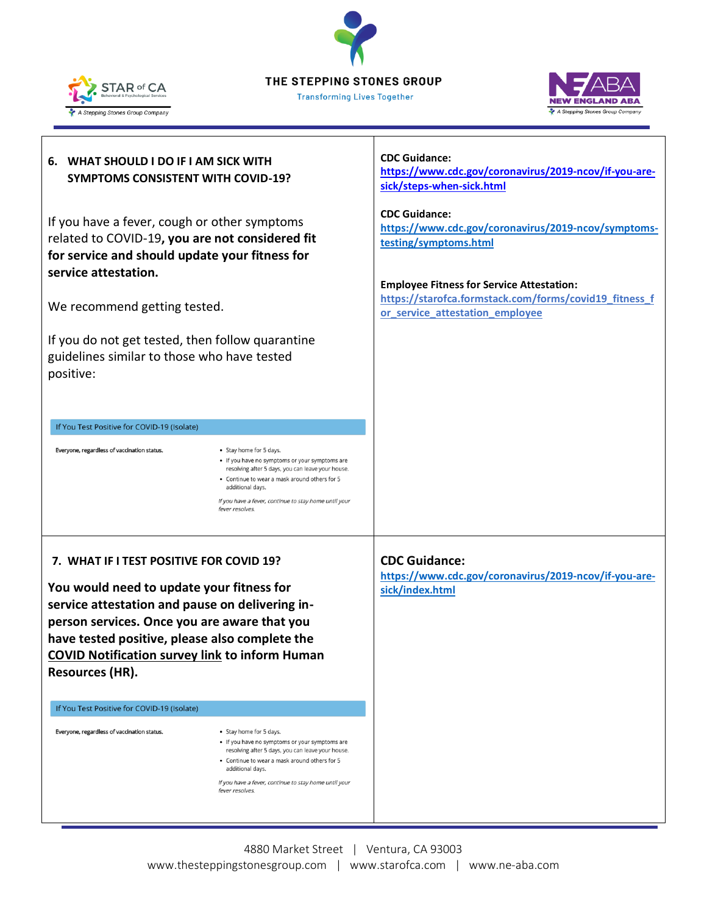THE STEPPING STONES GROUP

**Transforming Lives Together** 





## **CDC Guidance: 6. WHAT SHOULD I DO IF I AM SICK WITH [https://www.cdc.gov/coronavirus/2019-ncov/if-you-are-](https://www.cdc.gov/coronavirus/2019-ncov/if-you-are-sick/steps-when-sick.html)SYMPTOMS CONSISTENT WITH COVID-19? [sick/steps-when-sick.html](https://www.cdc.gov/coronavirus/2019-ncov/if-you-are-sick/steps-when-sick.html) CDC Guidance:**  If you have a fever, cough or other symptoms **[https://www.cdc.gov/coronavirus/2019-ncov/symptoms](https://www.cdc.gov/coronavirus/2019-ncov/symptoms-testing/symptoms.html)**related to COVID-19**, you are not considered fit [testing/symptoms.html](https://www.cdc.gov/coronavirus/2019-ncov/symptoms-testing/symptoms.html) for service and should update your fitness for service attestation. Employee Fitness for Service Attestation: [https://starofca.formstack.com/forms/covid19\\_fitness\\_f](https://starofca.formstack.com/forms/covid19_fitness_for_service_attestation_employee)** We recommend getting tested. **[or\\_service\\_attestation\\_employee](https://starofca.formstack.com/forms/covid19_fitness_for_service_attestation_employee)** If you do not get tested, then follow quarantine guidelines similar to those who have tested positive: If You Test Positive for COVID-19 (Isolate) Everyone, regardless of vaccination status. • Stay home for 5 days. • If you have no symptoms or your symptoms are resolving after 5 days, you can leave your house. • Continue to wear a mask around others for 5 additional days. If you have a fever, continue to stay home until your fever resolves **7. WHAT IF I TEST POSITIVE FOR COVID 19? CDC Guidance: [https://www.cdc.gov/coronavirus/2019-ncov/if-you-are-](https://www.cdc.gov/coronavirus/2019-ncov/if-you-are-sick/index.html)You would need to update your fitness for [sick/index.html](https://www.cdc.gov/coronavirus/2019-ncov/if-you-are-sick/index.html)service attestation and pause on delivering inperson services. Once you are aware that you have tested positive, please also complete the COVID Notification survey link to inform Human Resources (HR).** If You Test Positive for COVID-19 (Isolate) Everyone, regardless of vaccination status. • Stay home for 5 days. . If you have no symptoms or your symptoms are resolving after 5 days, you can leave your house. . Continue to wear a mask around others for 5 additional days. If you have a fever, continue to stay home until your fever resolves.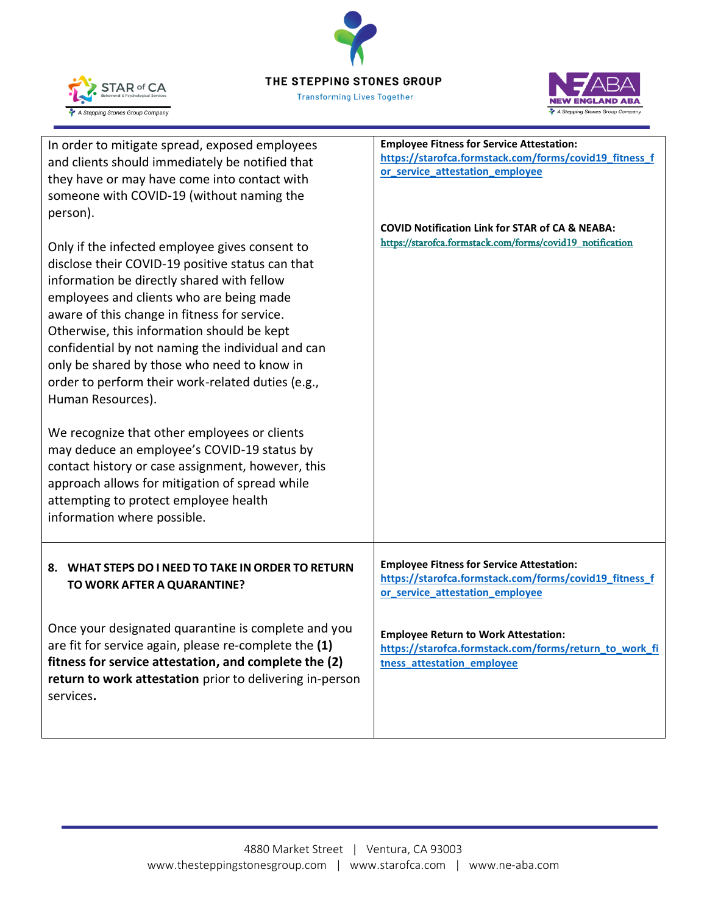THE STEPPING STONES GROUP

**Transforming Lives Together** 



**NEW ENGLAND ABA** A Stepping Stones Group Company

| In order to mitigate spread, exposed employees<br>and clients should immediately be notified that<br>they have or may have come into contact with<br>someone with COVID-19 (without naming the<br>person).                                                                                                                                                                                                                                                               | <b>Employee Fitness for Service Attestation:</b><br>https://starofca.formstack.com/forms/covid19_fitness_f<br>or_service_attestation_employee |
|--------------------------------------------------------------------------------------------------------------------------------------------------------------------------------------------------------------------------------------------------------------------------------------------------------------------------------------------------------------------------------------------------------------------------------------------------------------------------|-----------------------------------------------------------------------------------------------------------------------------------------------|
| Only if the infected employee gives consent to<br>disclose their COVID-19 positive status can that<br>information be directly shared with fellow<br>employees and clients who are being made<br>aware of this change in fitness for service.<br>Otherwise, this information should be kept<br>confidential by not naming the individual and can<br>only be shared by those who need to know in<br>order to perform their work-related duties (e.g.,<br>Human Resources). | <b>COVID Notification Link for STAR of CA &amp; NEABA:</b><br>https://starofca.formstack.com/forms/covid19_notification                       |
| We recognize that other employees or clients<br>may deduce an employee's COVID-19 status by<br>contact history or case assignment, however, this<br>approach allows for mitigation of spread while<br>attempting to protect employee health<br>information where possible.                                                                                                                                                                                               |                                                                                                                                               |
| 8. WHAT STEPS DO I NEED TO TAKE IN ORDER TO RETURN<br>TO WORK AFTER A QUARANTINE?                                                                                                                                                                                                                                                                                                                                                                                        | <b>Employee Fitness for Service Attestation:</b><br>https://starofca.formstack.com/forms/covid19_fitness_f<br>or_service_attestation_employee |
| Once your designated quarantine is complete and you<br>are fit for service again, please re-complete the (1)<br>fitness for service attestation, and complete the (2)<br>return to work attestation prior to delivering in-person<br>services.                                                                                                                                                                                                                           | <b>Employee Return to Work Attestation:</b><br>https://starofca.formstack.com/forms/return_to_work_fi<br>tness_attestation_employee           |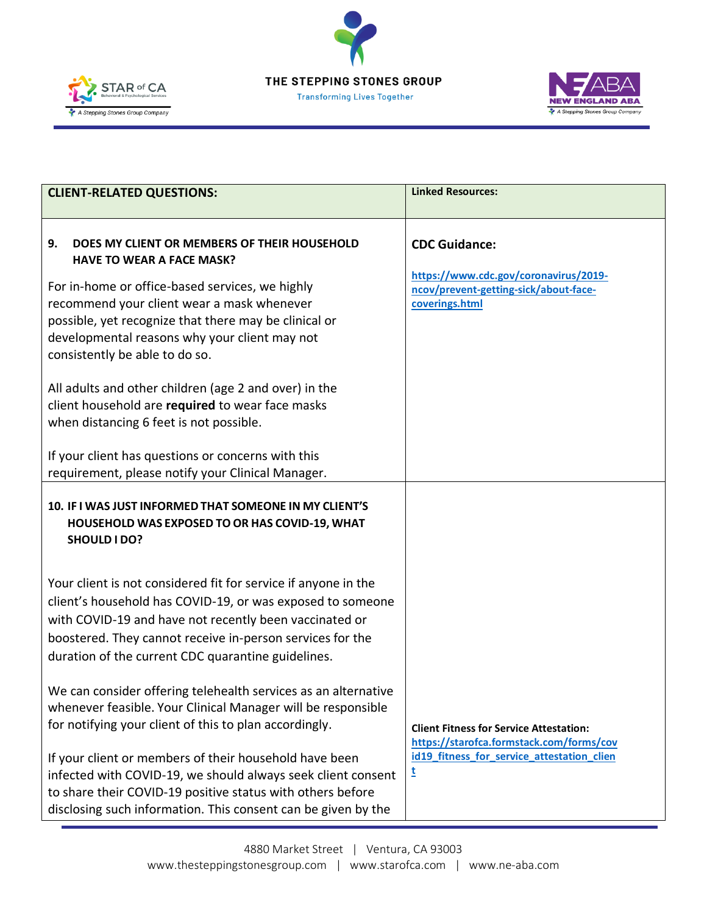



![](_page_5_Picture_2.jpeg)

| <b>CLIENT-RELATED QUESTIONS:</b>                                                                                                                                                                                                                                                                          | <b>Linked Resources:</b>                                                                         |
|-----------------------------------------------------------------------------------------------------------------------------------------------------------------------------------------------------------------------------------------------------------------------------------------------------------|--------------------------------------------------------------------------------------------------|
| 9.<br>DOES MY CLIENT OR MEMBERS OF THEIR HOUSEHOLD<br><b>HAVE TO WEAR A FACE MASK?</b>                                                                                                                                                                                                                    | <b>CDC Guidance:</b>                                                                             |
| For in-home or office-based services, we highly<br>recommend your client wear a mask whenever<br>possible, yet recognize that there may be clinical or<br>developmental reasons why your client may not<br>consistently be able to do so.                                                                 | https://www.cdc.gov/coronavirus/2019-<br>ncov/prevent-getting-sick/about-face-<br>coverings.html |
| All adults and other children (age 2 and over) in the<br>client household are required to wear face masks<br>when distancing 6 feet is not possible.                                                                                                                                                      |                                                                                                  |
| If your client has questions or concerns with this<br>requirement, please notify your Clinical Manager.                                                                                                                                                                                                   |                                                                                                  |
| 10. IF I WAS JUST INFORMED THAT SOMEONE IN MY CLIENT'S<br>HOUSEHOLD WAS EXPOSED TO OR HAS COVID-19, WHAT<br>SHOULD I DO?                                                                                                                                                                                  |                                                                                                  |
| Your client is not considered fit for service if anyone in the<br>client's household has COVID-19, or was exposed to someone<br>with COVID-19 and have not recently been vaccinated or<br>boostered. They cannot receive in-person services for the<br>duration of the current CDC quarantine guidelines. |                                                                                                  |
| We can consider offering telehealth services as an alternative<br>whenever feasible. Your Clinical Manager will be responsible<br>for notifying your client of this to plan accordingly.                                                                                                                  | <b>Client Fitness for Service Attestation:</b><br>https://starofca.formstack.com/forms/cov       |
| If your client or members of their household have been<br>infected with COVID-19, we should always seek client consent<br>to share their COVID-19 positive status with others before<br>disclosing such information. This consent can be given by the                                                     | id19 fitness for service attestation clien<br>t                                                  |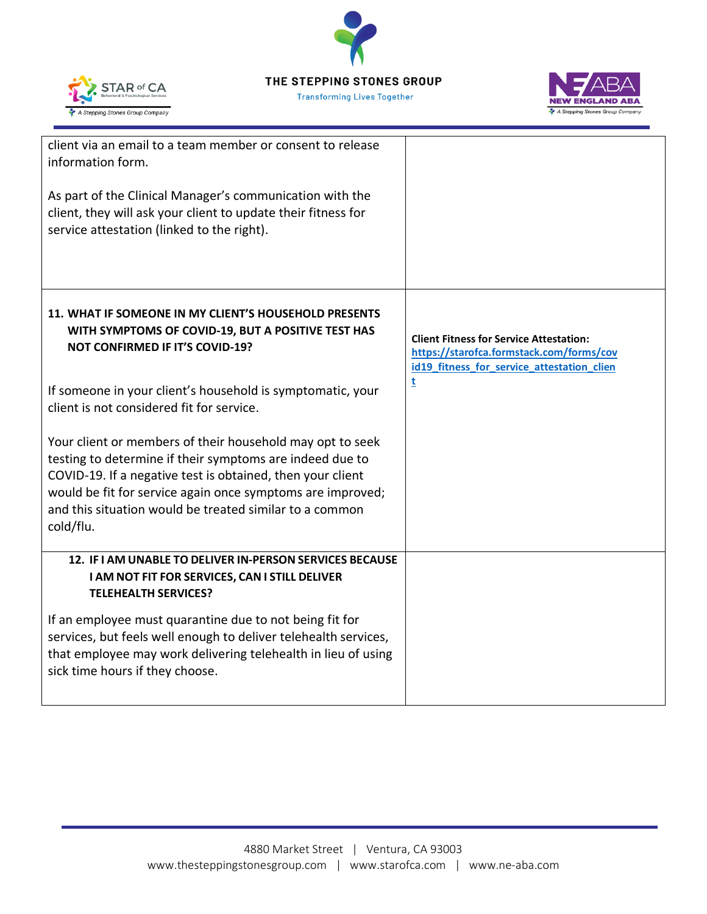![](_page_6_Picture_0.jpeg)

STAR of CA

A Stepping Stones Group Company

**Transforming Lives Together** 

![](_page_6_Picture_2.jpeg)

| client via an email to a team member or consent to release<br>information form.<br>As part of the Clinical Manager's communication with the<br>client, they will ask your client to update their fitness for<br>service attestation (linked to the right).                                                                |                                                                                                                                          |
|---------------------------------------------------------------------------------------------------------------------------------------------------------------------------------------------------------------------------------------------------------------------------------------------------------------------------|------------------------------------------------------------------------------------------------------------------------------------------|
| 11. WHAT IF SOMEONE IN MY CLIENT'S HOUSEHOLD PRESENTS<br>WITH SYMPTOMS OF COVID-19, BUT A POSITIVE TEST HAS<br><b>NOT CONFIRMED IF IT'S COVID-19?</b>                                                                                                                                                                     | <b>Client Fitness for Service Attestation:</b><br>https://starofca.formstack.com/forms/cov<br>id19_fitness_for_service_attestation_clien |
| If someone in your client's household is symptomatic, your<br>client is not considered fit for service.                                                                                                                                                                                                                   | t                                                                                                                                        |
| Your client or members of their household may opt to seek<br>testing to determine if their symptoms are indeed due to<br>COVID-19. If a negative test is obtained, then your client<br>would be fit for service again once symptoms are improved;<br>and this situation would be treated similar to a common<br>cold/flu. |                                                                                                                                          |
| 12. IF I AM UNABLE TO DELIVER IN-PERSON SERVICES BECAUSE<br>I AM NOT FIT FOR SERVICES, CAN I STILL DELIVER<br><b>TELEHEALTH SERVICES?</b>                                                                                                                                                                                 |                                                                                                                                          |
| If an employee must quarantine due to not being fit for<br>services, but feels well enough to deliver telehealth services,<br>that employee may work delivering telehealth in lieu of using<br>sick time hours if they choose.                                                                                            |                                                                                                                                          |